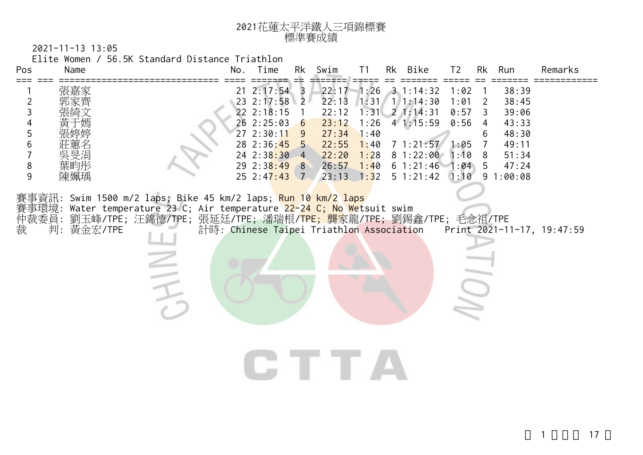| 2021花蓮太平洋鐵人三項錦標賽 |
|------------------|
| 標準賽成績            |

2021-11-13 13:05

Elite Women / 56.5K Standard Distance Triathlon

|            | No. | Time |                | Rk Swim                                                                                          | T1                                     |                                                                                            | Rk Bike                               | T <sub>2</sub>                                                                                                                                                                                          |                                                      | Rk Run                                                               | Remarks                                                                                                                                                                |
|------------|-----|------|----------------|--------------------------------------------------------------------------------------------------|----------------------------------------|--------------------------------------------------------------------------------------------|---------------------------------------|---------------------------------------------------------------------------------------------------------------------------------------------------------------------------------------------------------|------------------------------------------------------|----------------------------------------------------------------------|------------------------------------------------------------------------------------------------------------------------------------------------------------------------|
| 判: 黃金宏/TPE |     |      | $\overline{1}$ | 22:13<br>22:12<br>23:12<br>22:55<br>22:20                                                        |                                        |                                                                                            |                                       |                                                                                                                                                                                                         | 2<br>3<br>$\overline{4}$<br>6<br>$\overline{7}$<br>8 | 38:39<br>38:45<br>39:06<br>43:33<br>48:30<br>49:11<br>51:34<br>47:24 |                                                                                                                                                                        |
|            |     |      |                | CHE TEXT                                                                                         |                                        |                                                                                            |                                       |                                                                                                                                                                                                         |                                                      |                                                                      |                                                                                                                                                                        |
|            |     |      |                | 21 2:17:54 3<br>$22 \t2:18:15$<br>26 2:25:03 6<br>272:30:119<br>$28$ 2:36:45 5<br>$24$ 2:38:30 4 | $23 \t2:17:58$ 2<br>$29 \t2:38:49 \t8$ | $27:34$ 1:40<br>賽事資訊: Swim 1500 m/2 laps; Bike 45 km/2 laps; <mark>Run 10 km/2 laps</mark> | 1:31/<br>1:26<br>1:28<br>$26:57$ 1:40 | $22:17 - 1:26$ 3 1:14:32<br>1/1:14:30<br>$1:31 \quad 2 \quad 1:14:31$<br>41:15:59<br>賽事環境: Water temperature 23 C; Air temperature 22-24 C; No Wetsuit swim<br>計時: Chinese Taipei Triathlon Association | $1:40$ 7 1:21:57<br>81:22:00                         | 1:02<br>1:01<br>0:57<br>0:56<br>1:05<br>1:10<br>61:21:461:945        | $25$ 2:47:43 7 23:13 1:32 5 1:21:42 1:10 9 1:00:08<br>仲裁委員: 劉玉峰/TPE; 汪錦德/TPE; 張延廷/TPE; 潘瑞根/ <mark>TPE; 龔家</mark> 龍/TPE; 劉錫鑫/TPE; 毛念祖/TPE<br>Print 2021-11-17, 19:47:59 |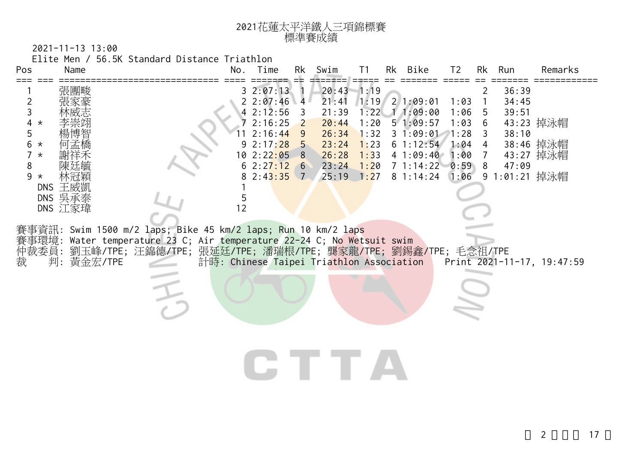| 2021花蓮太平洋鐵人三項錦標賽 |
|------------------|
| 標準賽成績            |

2021-11-13 13:00

Elite Men / 56.5K Standard Distance Triathlon

| Pos                                                                                                                           | Name                                 |                                                                                                                                                                                                    | No. | Time                                                                                                    | Rk                                                                                     | Swim                                                                          | T <sub>1</sub>                                                  | Rk Bike                                                                                                        | T <sub>2</sub>                               | Rk                                                                       | Run                                                        | Remarks                             |
|-------------------------------------------------------------------------------------------------------------------------------|--------------------------------------|----------------------------------------------------------------------------------------------------------------------------------------------------------------------------------------------------|-----|---------------------------------------------------------------------------------------------------------|----------------------------------------------------------------------------------------|-------------------------------------------------------------------------------|-----------------------------------------------------------------|----------------------------------------------------------------------------------------------------------------|----------------------------------------------|--------------------------------------------------------------------------|------------------------------------------------------------|-------------------------------------|
| $==$<br>$\overline{2}$<br>3<br>4<br>$\star$<br>5<br>6<br>$^\star$<br>$\overline{7}$<br>$^\star$<br>8<br>9<br>$\star$<br>仲裁委員: | 張團畯<br>DNS 王威凱<br>DNS 吳承泰<br>DNS 江家瑋 | 賽事資訊: Swim 1500 m/2 laps; Bike 45 km/2 laps; Run 10 km/2 laps<br>賽事環境: Water temperature 23 C; Air temperature 22-24 C; No Wetsuit swim<br>劉玉峰/TPE;汪錦德/TPE;張延廷/TPE;潘瑞根/TPE;龔家龍/TPE;劉錫鑫/TPE;毛念祖/TPE | 12  | 32:07:13<br>22:07:46<br>42:12:56<br>72:16:25<br>2:16:44<br>92:17:28<br>10 2:22:05<br>2:27:12<br>2:43:35 | 4<br>3<br>$\overline{2}$<br>9<br>$5\overline{)}$<br>8<br>$6\overline{6}$<br>$\sqrt{7}$ | 20:43<br>21:41<br>21:39<br>20:44<br>26:34<br>23:24<br>26:28<br>23:24<br>25:19 | $-1:19$<br>1:22<br>1:20<br>1:32<br>1:23<br>1:33<br>1:20<br>1:27 | $1:19$ 2 1:09:01<br>11:09:00<br>51:09:57<br>31:09:011:28<br>61:12:54<br>41:09:40<br>7 1:14:22 0:59<br>81:14:24 | 1:03<br>1:06<br>1:03<br>1:04<br>1:00<br>1:06 | $\overline{2}$<br>5<br>6<br>3<br>$\overline{4}$<br>$\overline{7}$<br>- 8 | 36:39<br>34:45<br>39:51<br>38:10<br>47:09<br>9 1:01:21 掉泳帽 | 43:23 掉泳帽<br>38:46 掉泳帽<br>43:27 掉泳帽 |
| 裁                                                                                                                             | 判:<br>黃金宏/TPE                        |                                                                                                                                                                                                    |     |                                                                                                         |                                                                                        | 計時: Chinese Taipei Triathlon Association<br>LE TE V                           |                                                                 |                                                                                                                |                                              |                                                                          |                                                            | Print 2021-11-17, 19:47:59          |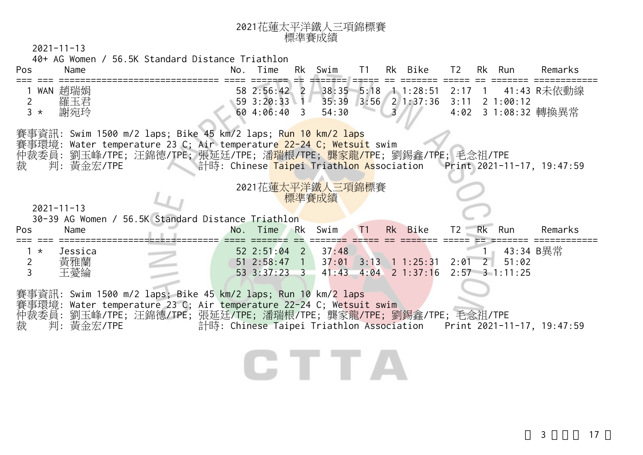| 2021花蓮太平洋鐵人三項錦標賽 |
|------------------|
| 標準賽成績            |

40+ AG Women / 56.5K Standard Distance Triathlon

| Pos                      | Name                  |                                                                                                                                                                                                                                                                                       | No. Time                                                                  | Rk Swim        | T1 | Rk Bike                                                   | T2             | Rk Run                                 | Remarks                                                             |
|--------------------------|-----------------------|---------------------------------------------------------------------------------------------------------------------------------------------------------------------------------------------------------------------------------------------------------------------------------------|---------------------------------------------------------------------------|----------------|----|-----------------------------------------------------------|----------------|----------------------------------------|---------------------------------------------------------------------|
| $\overline{2}$<br>$3 *$  | WAN 趙瑞娟<br>羅玉君<br>謝宛玲 |                                                                                                                                                                                                                                                                                       | $59$ 3:20:33 1<br>60 4:06:40 3                                            | 54:30          |    | 58 2:56:42 2 38:35 5:18 1 1:28:51<br>35:39 3:56 2 1:37:36 | 3:11           | 21:00:12                               | 2:17 1  41:43 R未依動線<br>4:02 3 1:08:32 轉換異常                          |
| 裁                        | 判:黃金宏/TPE             | 賽事資訊: Swim 1500 m/2 laps; Bike 45 km/2 laps; Run 10 km/2 laps<br>賽事環境: Water temperature 23 C; Air temperature 22-24 C; Wetsuit swim<br>仲裁委員: 劉玉峰/TPE; 汪錦德/TPE; 張延廷/TPE; 潘瑞根/TPE; 龔家龍/TPE; 劉錫鑫/TPE; 毛念祖/TPE<br>计時: Chinese Taipei Triathlon Association    Print 2021-11-17, 19:47:59 |                                                                           |                |    |                                                           |                |                                        |                                                                     |
|                          | $2021 - 11 - 13$      | 30-39 AG Women / 56.5K Standard Distance Triathlon                                                                                                                                                                                                                                    | 2021花蓮太平洋鐵人三項錦標賽                                                          | 標準賽成績          |    |                                                           |                |                                        |                                                                     |
| Pos                      | Name                  |                                                                                                                                                                                                                                                                                       | No. Time                                                                  | <b>RK</b> Swim | T1 | Rk Bike                                                   | T2             | Rk Run                                 | Remarks                                                             |
| $\star$<br>$\frac{2}{3}$ | Jessica<br>黃雅蘭<br>王薆綸 |                                                                                                                                                                                                                                                                                       | $52 \t2:51:04 \t2$<br>$51$ 2:58:47 1<br>53 3:37:23 3 41:43 4:04 2 1:37:16 | 37:48          |    | $37:01$ $3:13$ $1:25:31$                                  | $2:01 \quad 2$ | 43:34 B異常<br>51:02<br>$2:57$ 3 1:11:25 |                                                                     |
|                          |                       |                                                                                                                                                                                                                                                                                       |                                                                           |                |    |                                                           |                |                                        |                                                                     |
| 裁                        | 判:黃金宏/TPE             | 賽事資訊: Swim 1500 m/2 laps; Bike 45 km/2 laps; Run 10 km/2 laps<br>賽事環境: Water temperature 23 C; Air temperature 22-24 C; Wetsuit swim<br>仲裁委員: 劉玉峰/TPE; 汪錦德/TPE; 張延廷/TPE; 潘瑞根/TPE; 龔家龍/TPE; 劉錫鑫/TPE; 毛念祖/TPE                                                                           |                                                                           |                |    |                                                           |                |                                        | 計時: Chinese Taipei Triathlon Association Print 2021-11-17, 19:47:59 |

## GTTA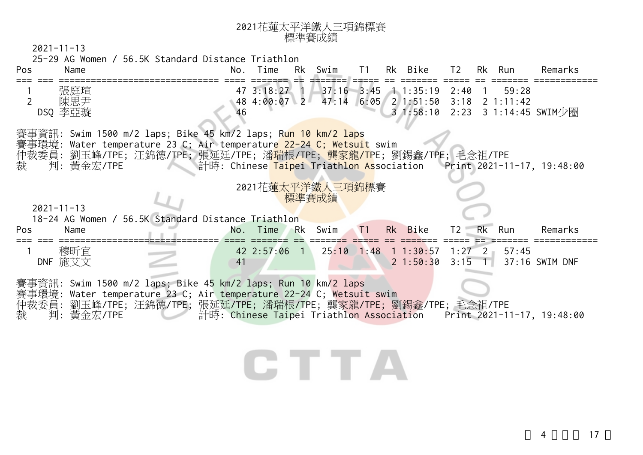| 2021花蓮太平洋鐵人三項錦標賽 |
|------------------|
| 標準賽成績            |

 $2021 - 11 - 13$ 

 25-29 AG Women / 56.5K Standard Distance Triathlon Pos Name No. Time Rk Swim T1 Rk Bike T2 Rk Run Remarks === === ============================== ==== ======= == ======= ===== == ======= ===== == ======= ============ 張庭瑄 47 3:18:27 1 37:16 3:45 1 1:35:19 2:40 1 59:28<br>陳思尹 48 4:00:07 2 47:14 6:05 2 1:51:50 3:18 2 1:11:42 2 陳思尹 1:00:07 2 47:14 6:05 2 1:51:50 3:18 2 1:11:42 DSQ 李亞璇 46 3 1:58:10 2:23 3 1:14:45 SWIM少圈 賽事資訊: Swim 1500 m/2 laps; Bike 45 km/2 laps; Run 10 km/2 laps 賽事環境: Water temperature 23 C; Air temperature 22-24 C; Wetsuit swim 仲裁委員: 劉玉峰/TPE; 汪錦德/TPE; 張延廷/TPE; 潘<mark>瑞根/TPE; 龔家龍/TP</mark>E; 劉錫鑫/TPE; 毛念祖/TPE 判: 黃金宏/TPE **The Taipei Triathlon As**sociation Print 2021-11-17, 19:48:00 <sup>2021</sup>花蓮太平洋鐵人三項錦標賽 標準賽成績 2021-11-13 18-24 AG Women / 56.5K Standard Distance Triathlon Pos Name No. Time Rk Swim T1 Rk Bike T2 Rk Run Remarks === === ============================== ==== ======= == ======= ===== == ======= ===== == ======= ============ <sup>1</sup>穆昕宜 42 2:57:06 1 25:10 1:48 1 1:30:57 1:27 2 57:45 DNF 施艾文 41 2 1:50:30 3:15 1 37:16 SWIM DNF 賽事資訊: Swim 1500 m/2 laps; Bike 45 km/2 laps; Run 10 km/2 laps 賽事環境: Water temperature 23 C; Air temperature 22-24 C; Wetsuit swim 仲裁委員: 劉玉峰/TPE; 汪錦德/TPE; 張延廷/TPE; 潘瑞根/TPE; 龔家龍/TPE; 劉錫鑫/TPE; 毛念祖/TPE 判: 黃金宏/TPE 青時: Chinese Taipei Triathlon Association Print 2021-11-17, 19:48:00 CHE ET LA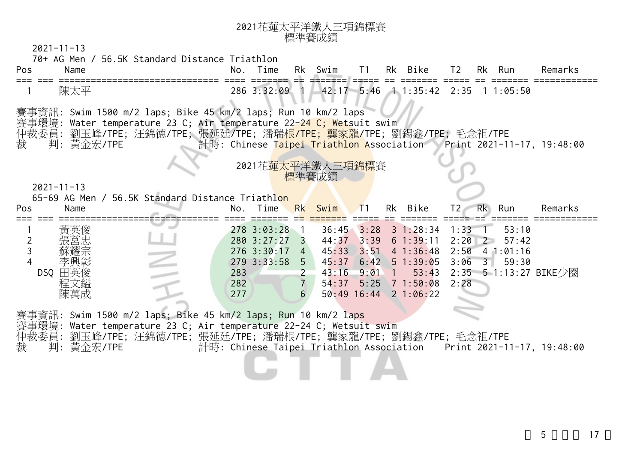| 2021花蓮太平洋鐵人三項錦標賽 |
|------------------|
| 標準賽成績            |

 $2021 - 11 - 13$ 

70+ AG Men / 56.5K Standard Distance Triathlon

| Pos | Name      |                                                                                                                                                                                                                                                                                                   | No. | Time | Rk Swim T1 |  | Rk Bike                                           | T2 Rk Run |  | Remarks |
|-----|-----------|---------------------------------------------------------------------------------------------------------------------------------------------------------------------------------------------------------------------------------------------------------------------------------------------------|-----|------|------------|--|---------------------------------------------------|-----------|--|---------|
|     | 陳太平       |                                                                                                                                                                                                                                                                                                   |     |      |            |  | 286 3:32:09 1 42:17 5:46 1 1:35:42 2:35 1 1:05:50 |           |  |         |
| 裁   | 判:黃金宏/TPE | 賽事資訊: Swim 1500 m/2 laps; Bike 45 km/2 laps; Run 10 km/2 laps<br>賽事環境: Water temperature 23 C; Air temperature 22-24 C; Wetsuit swim<br>仲裁委員: 劉玉峰/TPE; 汪錦德/TPE; 張延廷/TPE; 潘瑞 <mark>根/TPE; 龔家龍/</mark> TPE; 劉錫鑫/TPE; 毛念祖/TPE<br>计時: Chinese Taipei Triathlon Association Print 2021-11-17, 19:48:00 |     |      |            |  |                                                   |           |  |         |

2021花蓮太平洋鐵 標準賽成績

2021-11-13

65-69 AG Men / 56.5K Standard Distance Triathlon

| 278 3:03:28     |                                                     | $36:45$ $3:28$ $3$ $1:28:34$ |          |                                                                                                                                                                                            |
|-----------------|-----------------------------------------------------|------------------------------|----------|--------------------------------------------------------------------------------------------------------------------------------------------------------------------------------------------|
|                 |                                                     |                              | 1:33     | 53:10                                                                                                                                                                                      |
| $280 \t3:27:27$ |                                                     |                              | $2:20$ 2 | 57:42                                                                                                                                                                                      |
|                 | 45:33                                               |                              |          |                                                                                                                                                                                            |
| 5               |                                                     |                              |          | 59:30                                                                                                                                                                                      |
|                 |                                                     |                              |          |                                                                                                                                                                                            |
| 6               |                                                     |                              |          |                                                                                                                                                                                            |
|                 | $276$ 3:30:17<br>$279$ 3:33:58<br>283<br>282<br>277 | 43:16<br>54:37               | $9:01$ 1 | $44:37$ $3:39$ 6 1:39:11<br>$3:51$ 4 1:36:48 2:50 4 1:01:16<br>45:37 6:42 5 1:39:05 3:06 3<br>53:43 2:35 5 1:13:27 BIKE少圈<br>$5:25$ $7$ $1:50:08$<br>2:28<br>$50:49$ $16:44$ $2$ $1:06:22$ |

賽事資訊: Swim 1500 m/2 laps; Bike 45 km/2 laps; Run 10 km/2 laps

事環境: Water temperature 23 C; Air temperature 22-24 C; Wetsuit swim

仲裁委員: 劉玉峰/TPE; 汪錦德/TPE; 張延廷/TPE; 潘瑞根/TPE; 龔家龍/TPE; 劉錫鑫/TPE; 毛念祖/TPE

裁 判: 黃金宏/TPE 計時: Chinese Taipei Triathlon Association Print 2021-11-17, 19:48:00

 $5 \t 17$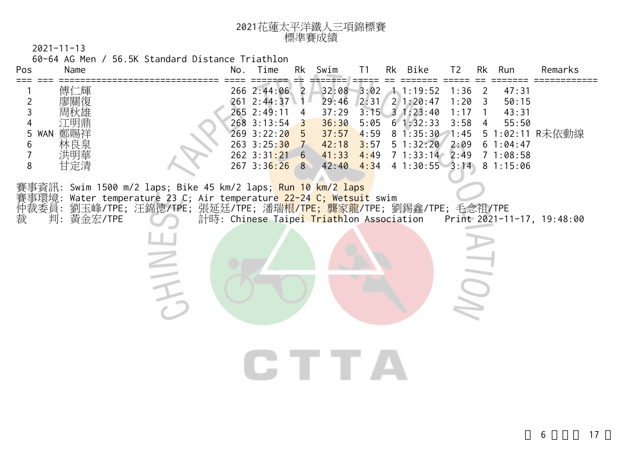| 2021花蓮太平洋鐵人三項錦標賽 |
|------------------|
| 標準賽成績            |

60-64 AG Men / 56.5K Standard Distance Triathlon

| Pos                                                                    | Name                              |                                                                                                                                                                                                                                         | No. | Time                                                                                                                             | Rk                   | Swim                                                        | T1<br>=====                  | Rk Bike                                                                                                                                                          | T <sub>2</sub>                       | Rk                                              | Run                                                                  | Remarks                                                             |
|------------------------------------------------------------------------|-----------------------------------|-----------------------------------------------------------------------------------------------------------------------------------------------------------------------------------------------------------------------------------------|-----|----------------------------------------------------------------------------------------------------------------------------------|----------------------|-------------------------------------------------------------|------------------------------|------------------------------------------------------------------------------------------------------------------------------------------------------------------|--------------------------------------|-------------------------------------------------|----------------------------------------------------------------------|---------------------------------------------------------------------|
| $\overline{2}$<br>3<br>$\overline{4}$<br>5<br>6<br>$\overline{7}$<br>8 | 傅仁輝<br>廖關復<br>WAN 剪<br>林良泉<br>甘定清 |                                                                                                                                                                                                                                         |     | 266 2:44:06 2<br>261 2:44:37<br>265 2:49:11<br>268 3:13:54<br>269 3:22:20<br>263 3:25:30 7<br>$262$ $3:31:21$ 6<br>267 3:36:26 8 | 4<br>3<br>$\sqrt{5}$ | 29:46<br>37:29<br>36:30<br>37:57<br>42:18<br>41:33<br>42:40 | 2:31<br>3:57<br>4:49<br>4:34 | 32:08 3:02 1 1:19:52<br>21:20:47<br>$3:15$ 3 1:23:40<br>$5:05 \quad 6 \quad 1:32:33$<br>$4:59$ 8 1:35:30 1:45<br>51:32:20<br>7 1:33:14 2:49<br>$41:30:55$ $3:14$ | 1:36<br>1:20<br>1:17<br>3:58<br>2:09 | $\overline{\phantom{2}}$<br>$\overline{3}$<br>4 | 47:31<br>50:15<br>43:31<br>55:50<br>61:04:47<br>71:08:58<br>81:15:06 | 5 1:02:11 R未依動線                                                     |
| 裁                                                                      | 判:黃金宏/TPE                         | 賽事資訊: Swim 1500 m/2 laps; Bike 45 km/2 laps; <mark>Run 10 km/2 laps</mark><br>賽事環境: Water temperature 23 C; Air temperature 22-24 C; Wetsuit swim<br>仲裁委員: 劉玉峰/TPE; 汪錦德/TPE; 張延廷/TPE; 潘瑞 <mark>根/TPE; 龔家龍</mark> /TPE; 劉錫鑫/TPE; 毛念祖/TPE |     |                                                                                                                                  |                      |                                                             |                              |                                                                                                                                                                  |                                      |                                                 |                                                                      | 計時: Chinese Taipei Triathlon Association Print 2021-11-17, 19:48:00 |
|                                                                        |                                   |                                                                                                                                                                                                                                         |     |                                                                                                                                  |                      | IT TE A                                                     |                              |                                                                                                                                                                  |                                      |                                                 |                                                                      |                                                                     |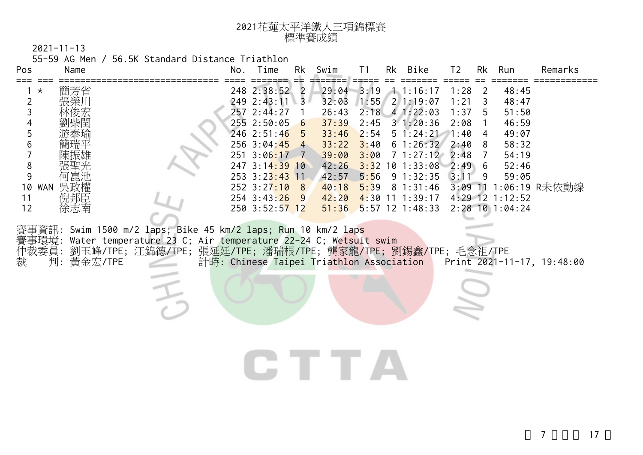| 2021花蓮太平洋鐵人三項錦標賽 |
|------------------|
| 標準賽成績            |

55-59 AG Men / 56.5K Standard Distance Triathlon

| 248 2:38:52<br>$29:04$ 3:19<br>1.1:16:17<br>簡芳省<br>1:28<br>48:45<br>2<br>$\overline{2}$<br>$^\star$<br>$\overline{c}$<br>249 2:43:11<br>$1:55$ 2 1:19:07<br>$\overline{3}$<br>32:03<br>1:21<br>48:47<br>3<br>3<br>257 2:44:27<br>$2:18$ 4 1:22:03<br>51:50<br>26:43<br>1:37<br>5<br>255 2:50:05<br>31:20:36<br>2:08<br>46:59<br>37:39<br>2:45<br>4<br>6<br>5<br>246 2:51:46<br>33:46<br>2:54<br>$5 \t1:24:21 \t1:40$<br>49:07<br>4<br>6<br>256 3:04:45 4<br>33:22<br>3:40<br>61:26:322:40<br>58:32<br>8<br>$\overline{7}$<br>251 3:06:17<br>39:00<br>3:00<br>$7\;1:27:12$<br>54:19<br>2:48<br>7<br>$-7$<br>8<br>247 3:14:39 10<br>42:26<br>$3:32$ 10 1:33:08<br>2:49<br>52:46<br>-6<br>9<br>42:57<br>253 3:23:43 11<br>5:56<br>$9 \t1:32:35$<br>3:11<br>9<br>59:05<br>252 3:27:10<br>3:09 11 1:06:19 R未依動線<br>WAN 吳政權<br>40:18<br>$5:39$ 8 1:31:46<br>10<br>8<br>$254$ 3:43:26<br>$4:30$ 11 1:39:17<br>4:29 12 1:12:52<br>倪邦臣<br>42:20<br>11<br>- 9<br>$2:28$ 10 1:04:24<br>12<br>徐志南<br>250 3:52:57 12<br>51:36<br>$5:57$ 12 1:48:33<br>賽事資訊: Swim 1500 m/2 laps; Bike 45 km/2 laps; Run 10 km/2 laps<br>Water temperature 23 C; Air temperature 22-24 C; Wetsuit swim<br>賽事環境:<br>仲裁委員:<br>劉玉峰/TPE; 汪錦德/TPE; 張延廷/TPE; 潘瑞根/TPE; 龔家龍/TPE; 劉錫鑫/TPE; 毛念祖/TPE<br>裁<br>判: 黃金宏/TPE<br>計時: Chinese Taipei Triathlon Association<br>Print 2021-11-17, 19:48:00<br><b>The Contract</b> | Pos | Name | No. | Time | Rk | Swim | T1 | Rk Bike | T <sub>2</sub> | Rk | Run | Remarks |
|--------------------------------------------------------------------------------------------------------------------------------------------------------------------------------------------------------------------------------------------------------------------------------------------------------------------------------------------------------------------------------------------------------------------------------------------------------------------------------------------------------------------------------------------------------------------------------------------------------------------------------------------------------------------------------------------------------------------------------------------------------------------------------------------------------------------------------------------------------------------------------------------------------------------------------------------------------------------------------------------------------------------------------------------------------------------------------------------------------------------------------------------------------------------------------------------------------------------------------------------------------------------------------------------------------------------------------------------------------------------------------|-----|------|-----|------|----|------|----|---------|----------------|----|-----|---------|
|                                                                                                                                                                                                                                                                                                                                                                                                                                                                                                                                                                                                                                                                                                                                                                                                                                                                                                                                                                                                                                                                                                                                                                                                                                                                                                                                                                                |     |      |     |      |    |      |    |         |                |    |     |         |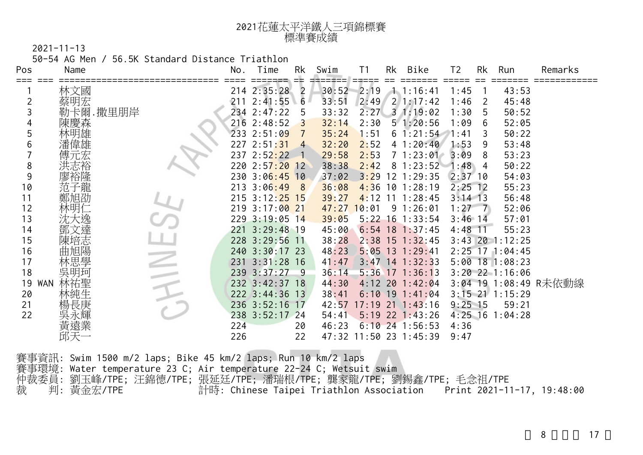| 2021花蓮太平洋鐵人三項錦標賽 |
|------------------|
| 標準賽成績            |

50-54 AG Men / 56.5K Standard Distance Triathlon

| Remarks               |
|-----------------------|
|                       |
|                       |
|                       |
|                       |
|                       |
|                       |
|                       |
|                       |
|                       |
|                       |
|                       |
|                       |
|                       |
|                       |
|                       |
|                       |
|                       |
|                       |
| 3:04 19 1:08:49 R未依動線 |
|                       |
|                       |
|                       |
|                       |
|                       |
|                       |

|               | 賽事資訊: Swim 1500 m/2 laps; Bike 45 km/2 laps; Run 10 km/2 laps       |  |
|---------------|---------------------------------------------------------------------|--|
|               | 賽事環境: Water temperature 23 C; Air temperature 22-24 C; Wetsuit swim |  |
|               | 仲裁委員: 劉玉峰/TPE; 汪錦德/TPE; 張延廷/TPE; 潘瑞根/TPE; 龔家龍/TPE; 劉錫鑫/TPE; 毛念祖/TPE |  |
| 裁  判: 黃金宏/TPE |                                                                     |  |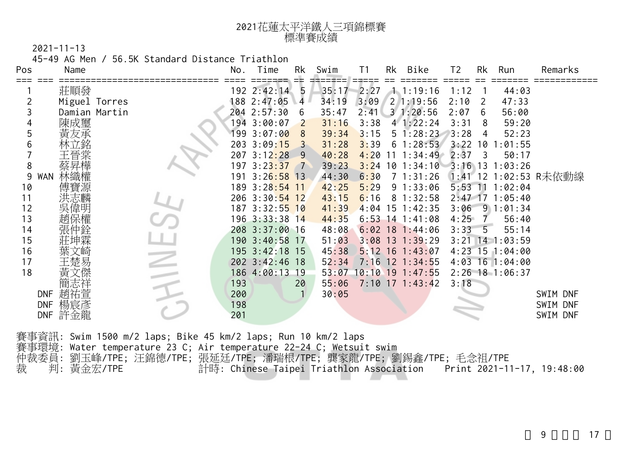| 2021花蓮太平洋鐵人三項錦標賽 |
|------------------|
| 標準賽成績            |

45-49 AG Men / 56.5K Standard Distance Triathlon

| Pos        | Name          |  | No. | Time                      | Rk             | Swim  | T1   | Rk | Bike                              | T <sub>2</sub> | Rk | Run               | Remarks               |
|------------|---------------|--|-----|---------------------------|----------------|-------|------|----|-----------------------------------|----------------|----|-------------------|-----------------------|
|            | 莊順發           |  |     | 192 2:42:14               | 5              | 35:17 | 2:27 |    | 1.1:19:16                         | 1:12           |    | 44:03             |                       |
|            | Miguel Torres |  |     | 188 2:47:05               | 4              | 34:19 | 3:09 |    | 21:19:56                          | 2:10           | -2 | 47:33             |                       |
| 3          | Damian Martin |  |     | 204 2:57:30               | 6              | 35:47 |      |    | $2:41 \quad 3 \quad 1:20:56$      | 2:07           | 6  | 56:00             |                       |
|            | 陳成璽           |  |     | 194 3:00:07               | 2              | 31:16 | 3:38 |    | 41:22:24                          | 3:31           | -8 | 59:20             |                       |
| 5          |               |  |     | 199 3:07:00               | 8              | 39:34 | 3:15 |    | $5 \; 1:28:23$                    | 3:28           | 4  | 52:23             |                       |
| 6          |               |  |     | 203 3:09:15               |                | 31:28 | 3:39 |    | 61:28:53                          |                |    | $3:22$ 10 1:01:55 |                       |
|            |               |  |     | 207 3:12:28               | 9              | 40:28 |      |    | $4:20$ 11 1:34:49                 | 2:37           | 3  | 50:17             |                       |
| 8          |               |  |     | 197 3:2 <mark>3:37</mark> | $\overline{7}$ | 39:23 |      |    | $3:24$ 10 1:34:10 3:16 13 1:03:26 |                |    |                   |                       |
| 9<br>WAN   |               |  |     | 191 3:26:58 13            |                | 44:30 | 6:30 |    | $7\;1:31:26$                      |                |    |                   | 1:41 12 1:02:53 R未依動線 |
| 10         |               |  |     | 189 3:28:54 11            |                | 42:25 | 5:29 |    | 91:33:06                          | $5:53$ 11      |    | 1:02:04           |                       |
| 11         |               |  |     | 206 3:30:54 12            |                | 43:15 | 6:16 |    | 81:32:58                          |                |    | $2:47$ 17 1:05:40 |                       |
| 12         |               |  |     | 187 3:32:55 10            |                | 41:39 |      |    | 4:04 15 1:42:35                   | 3:06           |    | 91:01:34          |                       |
| 13         |               |  |     | $196$ $3:33:38$ 14        |                | 44:35 |      |    | $6:53$ 14 1:41:08                 | 4:25           | 7  | 56:40             |                       |
| 14         |               |  |     | 208 3:37:00 16            |                | 48:08 |      |    | $6:02$ 18 1:44:06                 | $3:33 - 5$     |    | 55:14             |                       |
| 15         |               |  |     | 190 3:40:58 17            |                | 51:03 |      |    | $3:08$ 13 1:39:29                 |                |    | $3:21$ 14 1:03:59 |                       |
| 16         |               |  |     | 195 3:42:18 15            |                | 45:38 |      |    | $5:12$ 16 1:43:07                 |                |    | $4:23$ 15 1:04:00 |                       |
| 17         |               |  |     | 202 3:42:46 18            |                | 52:34 |      |    | $7:16$ 12 1:34:55                 |                |    | $4:03$ 16 1:04:00 |                       |
| 18         |               |  |     | 186 4:00:13 19            |                |       |      |    | $53:07$ 10:10 19 1:47:55          |                |    | $2:26$ 18 1:06:37 |                       |
|            |               |  | 193 |                           | 20             | 55:06 |      |    | $7:10$ 17 1:43:42                 | 3:18           |    |                   |                       |
| <b>DNF</b> | 趙祐萱           |  | 200 |                           |                | 30:05 |      |    |                                   |                |    |                   | SWIM DNF              |
| <b>DNF</b> | 楊宸彥           |  | 198 |                           |                |       |      |    |                                   |                |    |                   | SWIM DNF              |
|            | DNF 許金龍       |  | 201 |                           |                |       |      |    |                                   |                |    |                   | SWIM DNF              |

賽事環境: Water temperature 23 C; Air temperature 22-24 C; Wetsuit swim

仲裁委員: 劉玉峰/TPE; 汪錦德/TPE; 張延廷/TPE; 潘瑞根/TPE; 龔家龍/TPE; 劉錫鑫/TPE; 毛念祖/TPE

裁 判: 黃金宏/TPE 計時: Chinese Taipei Triathlon Association Print 2021-11-17, 19:48:00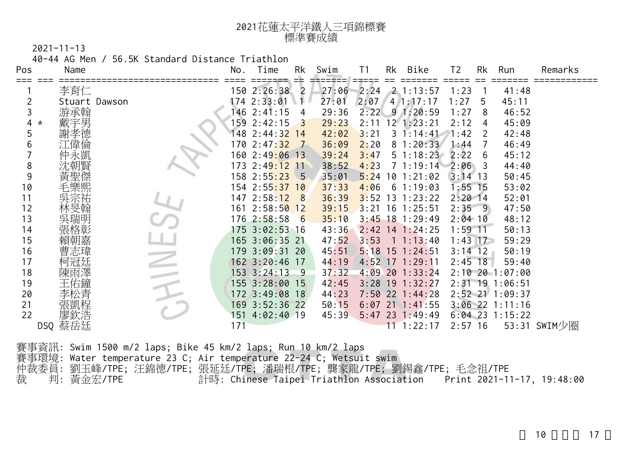| 2021花蓮太平洋鐵人三項錦標賽 |
|------------------|
| 標準賽成績            |

40-44 AG Men / 56.5K Standard Distance Triathlon

| Pos          | Name          | No. | Time                       | Rk  | Swim  | T <sub>1</sub> | Rk | Bike              | T2        | Rk    | Run               | Remarks      |
|--------------|---------------|-----|----------------------------|-----|-------|----------------|----|-------------------|-----------|-------|-------------------|--------------|
|              | 李育仁           |     | 150 2:26:38                | 2   | 27:06 | 2:24           |    | $2 \t1:13:57$     | 1:23      |       | 41:48             |              |
|              | Stuart Dawson |     | 174 2:33:01                |     | 27:01 | 2:07           |    | 4/1:17:17         | 1:27      | 5     | 45:11             |              |
| 3            | 游承翰           |     | 146 2:41:15                | 4   | 29:36 | 2:22           |    | 91:20:59          | 1:27      | 8     | 46:52             |              |
| 4<br>$\star$ | 戴宇男           | 159 | 2:42:15                    |     | 29:23 | 2:11           |    | 12 1:23:21        | 2:12      | 4     | 45:09             |              |
| 5            |               |     | 148 2:44:3 <mark>2</mark>  | -14 | 42:02 | 3:21           |    | $3 \; 1:14:41$    | 1:42      | 2     | 42:48             |              |
| 6            | 偉倫            | 170 | 2:47:32                    |     | 36:09 | 2:20           |    | 81:20:33          | 1:44      |       | 46:49             |              |
|              | k剴            |     | 160 2:49 <mark>:0</mark> 6 | 13  | 39:24 | 3:47           |    | $5 \; 1:18:23$    | 2:22      | 6     | 45:12             |              |
| 8            |               | 173 | 2:49:12                    | 11  | 38:52 | 4:23           |    | 1:19:14           | 2:06      | 3     | 44:40             |              |
| 9            |               |     | 158 2:5 <mark>5:23</mark>  | - 5 | 35:01 | 5:24           | 10 | 1:21:02           | $3:14$ 13 |       | 50:45             |              |
| 10           |               |     | 154 2:55:37                | 10  | 37:33 | 4:06           | 6  | 1:19:03           | $1:55$ 15 |       | 53:02             |              |
| 11           |               |     | 147 2:58:12                | 8   | 36:39 | 3:52           | 13 | 1:23:22           | $2:20$ 14 |       | 52:01             |              |
| 12           |               |     | 161 2:58:50                | 12  | 39:15 | 3:21           | 16 | 1:25:51           | $2:35$ 9  |       | 47:50             |              |
| 13           |               |     | 1762:58:58                 | 6   | 35:10 | $3:45$ 18      |    | 1:29:49           | $2:04$ 10 |       | 48:12             |              |
| 14           | 各彰            |     | 175 3:02:53 16             |     | 43:36 | 2:42           |    | $14$ 1:24:25      | 1:59      | $-11$ | 50:13             |              |
| 15           | 賴朝嘉           |     | 165 3:06:35 21             |     | 47:52 | 3:53           |    | 1:13:40           | $1:43$ 17 |       | 59:29             |              |
| 16           | 曹志瑋           |     | 179 3:09:31                | 20  | 45:51 | 5:18           | 15 | 1:24:51           | $3:14$ 12 |       | 50:19             |              |
| 17           |               |     | $162 \t3:20:46$            | 17  | 44:19 | 4:52           | 17 | : 29:11           | $2:45$ 18 |       | 59:40             |              |
| 18           |               |     | $153 \t3:24:13$            | -9  | 37:32 | 4:09           | 20 | 1:33:24           |           |       | $2:10$ 20 1:07:00 |              |
| 19           |               |     | 155 3:28:00                | 15  | 42:45 | 3:28           | 19 | 1:32:27           |           |       | 2:31 19 1:06:51   |              |
| 20           | 公青            |     | 172 3:49:08 18             |     | 44:23 |                |    | $7:50$ 22 1:44:28 |           |       | $2:52$ 21 1:09:37 |              |
| 21           | 程             | 169 | $3:52:36$ 22               |     | 50:15 | 6:07           | 21 | 1:41:55           |           |       | $3:06$ 22 1:11:16 |              |
| 22           | 膠欽浩           | 151 | $4:02:40$ 19               |     | 45:39 | 5:47           |    | 23 1:49:49        |           |       | $6:04$ 23 1:15:22 |              |
| DSQ          | 蔡岳廷           | 171 |                            |     |       |                |    | 11 1:22:17        | $2:57$ 16 |       |                   | 53:31 SWIM少圈 |

賽事資訊: Swim 1500 m/2 laps; Bike 45 km/2 laps; Run 10 km/2 laps 賽事環境: Water temperature 23 C; Air temperature 22-24 C; Wetsuit swim 仲裁委員: 劉玉峰/TPE; 汪錦德/TPE; 張延廷/TPE; 潘瑞根/TPE; 龔家龍/TPE; 劉錫鑫/TPE; 毛念祖/TPE 裁 判: 黃金宏/TPE 計時: Chinese Taipei Triathlon Association Print 2021-11-17, 19:48:00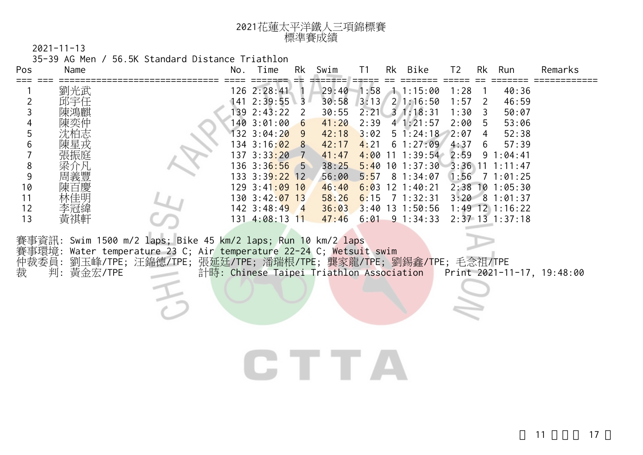| 2021花蓮太平洋鐵人三項錦標賽 |
|------------------|
| 標準賽成績            |

35-39 AG Men / 56.5K Standard Distance Triathlon

| Pos                                                                                                    | Name                            |                                                                                                                                                                                                      | No. Time                                                                                                                                                                                                                                              | Rk                  | Swim                                                                                                              | T1                           | Rk Bike                                                                                                                                                                                                                                                     | T <sub>2</sub>                               | Rk                                 | Run                                                                                                                                                                                                            | Remarks                    |
|--------------------------------------------------------------------------------------------------------|---------------------------------|------------------------------------------------------------------------------------------------------------------------------------------------------------------------------------------------------|-------------------------------------------------------------------------------------------------------------------------------------------------------------------------------------------------------------------------------------------------------|---------------------|-------------------------------------------------------------------------------------------------------------------|------------------------------|-------------------------------------------------------------------------------------------------------------------------------------------------------------------------------------------------------------------------------------------------------------|----------------------------------------------|------------------------------------|----------------------------------------------------------------------------------------------------------------------------------------------------------------------------------------------------------------|----------------------------|
| $\overline{c}$<br>3<br>4<br>5<br>6<br>$\overline{7}$<br>$\,8\,$<br>$\mathsf 9$<br>10<br>11<br>12<br>13 | 劉光武<br>邱宇任<br>周義豐<br>李冠緯<br>黃祺軒 | 賽事資訊: Swim 1500 m/2 laps; Bike 45 km/2 laps; Run 10 km/2 laps<br>賽事環境: Water temperature 23 C; Air temperature 22-24 C; Wetsuit swim<br>仲裁委員:劉玉峰/TPE;汪錦德/TPE;張延廷/TPE;潘瑞根/TPE;龔家龍/TPE;劉錫鑫/TPE;毛念祖/TPE | 126 2:28:41<br>$141 \quad 2:39:55 \quad 3$<br>139 2:43:22<br>140 3:01:00 6<br>132 3:04:20 9<br>134 3:16:02 8<br>137 3:33:20 7<br>$136$ $3:36:56$ 5<br>133 3:39:22 12<br>129 3:41:09 10<br>$130 \t3:42:07 \t13$<br>$142 \ \ 3:48:49$<br>131 4:08:13 11 | 2<br>$\overline{4}$ | 29:40<br>30:58<br>30:55<br>41:20<br>42:18<br>42:17<br>41:47<br>38:25<br>56:00<br>46:40<br>58:26<br>36:03<br>47:46 | 1:58<br>3:02<br>4:21<br>6:15 | 1.1:15:00<br>$3:13$ 2 1:16:50<br>$2:21 \quad 3 \quad 1:18:31$<br>$2:39$ 4 1:21:57<br>$5 \; 1:24:18$<br>61:27:09<br>$4:00$ 11 1:39:54 2:59<br>5 <mark>:5</mark> 7    8    1:34:07<br>$6:03$ 12 1:40:21<br>7 1:32:31<br>$3:40$ 13 1:50:56<br>$6:01$ 9 1:34:33 | 1:28<br>1:57<br>1:30<br>2:00<br>2:07<br>4:37 | 2<br>3<br>5<br>$\overline{4}$<br>6 | 40:36<br>46:59<br>50:07<br>53:06<br>52:38<br>57:39<br>$9 \; 1:04:41$<br>$5:40$ 10 1:37:30 3:36 11 1:11:47<br>$1:56$ 7 1:01:25<br>2:38 10 1:05:30<br>$3:20$ 8 1:01:37<br>$1:49$ 12 1:16:22<br>$2:37$ 13 1:37:18 |                            |
| 裁                                                                                                      | 判: 黃金宏/TPE                      |                                                                                                                                                                                                      |                                                                                                                                                                                                                                                       |                     | 計時: Chinese Taipei Triathlon Association                                                                          |                              |                                                                                                                                                                                                                                                             |                                              |                                    |                                                                                                                                                                                                                | Print 2021-11-17, 19:48:00 |
|                                                                                                        |                                 |                                                                                                                                                                                                      |                                                                                                                                                                                                                                                       |                     | an sa Bara                                                                                                        |                              |                                                                                                                                                                                                                                                             |                                              |                                    |                                                                                                                                                                                                                |                            |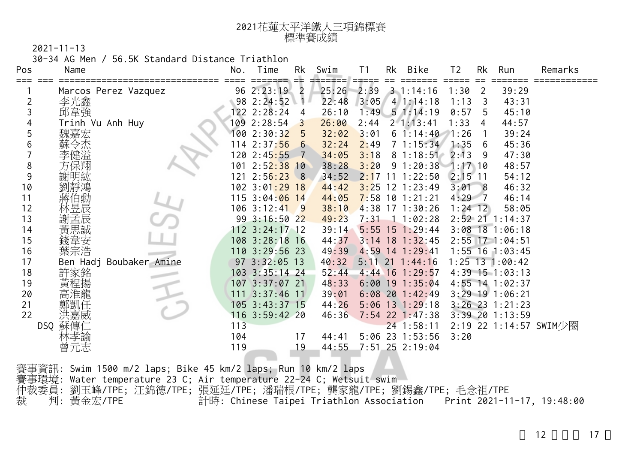| 2021花蓮太平洋鐵人三項錦標賽 |
|------------------|
| 標準賽成績            |

30-34 AG Men / 56.5K Standard Distance Triathlon

| Pos | Name                    | No. | Time                      | Rk | Swim  | T <sub>1</sub> | Rk | Bike              | T <sub>2</sub> | <b>Rk</b>      | Run                 | Remarks                |
|-----|-------------------------|-----|---------------------------|----|-------|----------------|----|-------------------|----------------|----------------|---------------------|------------------------|
|     |                         |     |                           |    |       |                |    |                   |                |                |                     |                        |
|     | Marcos Perez Vazquez    |     | 96 2:23:19                | 2  | 25:26 | 2:39           |    | $3 \t1:14:16$     | 1:30           | $\overline{2}$ | 39:29               |                        |
| 2   | 李光鑫                     |     | 98 2:24:52                |    | 22:48 | 3:05           |    | $4 \; 1:14:18$    | 1:13           | 3              | 43:31               |                        |
| 3   | 邱韋强                     |     | 122 2:28:24               | 4  | 26:10 | 1:49           |    | 51:14:19          | 0:57           | 5              | 45:10               |                        |
|     | Trinh Vu Anh Huy        |     | 109 2:28:54               | 3  | 26:00 | 2:44           |    | 21:13:41          | 1:33           | 4              | 44:57               |                        |
| 5   | 魏嘉宏                     |     | 100 2:30:32               | 5  | 32:02 | 3:01           |    | 61:14:40          | 1:26           |                | 39:24               |                        |
| 6   | 令杰                      |     | 114 2:37:56               | 6  | 32:24 | 2:49           |    | 71:15:34          | 1:35           | 6              | 45:36               |                        |
|     | 建溢                      |     | 120 2:45 <mark>:55</mark> |    | 34:05 | 3:18           |    | 81:18:51          | 2:13           | -9             | 47:30               |                        |
| 8   |                         | 101 | 2:52:38                   | 10 | 38:28 | 3:20           |    | 91:20:38          | $1:17$ 10      |                | 48:57               |                        |
| 9   | 謝明紘                     |     | 121 2:56:23               | 8  | 34:52 | 2:17           | 11 | 1:22:50           | $2:15$ 11      |                | 54:12               |                        |
| 10  |                         |     | 102 3:01:29 18            |    | 44:42 | 3:25           | 12 | 1:23:49           | 3:01           | - 8            | 46:32               |                        |
| 11  | 伯勳                      |     | 115 3:04:06 14            |    | 44:05 |                |    | $7:58$ 10 1:21:21 | $4:29$ 7       |                | 46:14               |                        |
| 12  | 林昱辰                     |     | $106$ 3:12:41             | -9 | 38:10 | 4:38           |    | $17 \t1:30:26$    | $1:24$ 12      |                | 58:05               |                        |
| 13  | 孟辰                      |     | 993:16:5022               |    | 49:23 | 7:31           |    | 11:02:28          |                |                | 2:52 21 1:14:37     |                        |
| 14  | 黃思誠                     |     | 112 3:24:17 12            |    | 39:14 | $5:55$ 15      |    | 1:29:44           |                |                | $3:08$ 18 1:06:18   |                        |
| 15  |                         |     | 108 3:28:18 16            |    | 44:37 | $3:14$ 18      |    | 1:32:45           |                |                | $2:55$ 17 1:04:51   |                        |
| 16  | 葉宗浩                     |     | 110 3:29:56 23            |    | 49:39 |                |    | 4:59 14 1:29:41   |                |                | $1:55$ 16 $1:03:45$ |                        |
| 17  | Ben Hadj Boubaker Amine |     | 97 3:32:05 13             |    | 40:32 |                |    | $5:11$ 21 1:44:16 |                |                | $1:25$ 13 1:00:42   |                        |
| 18  | 許家銘                     |     | 103 3:35:14 24            |    | 52:44 | $4:44$ 16      |    | 1:29:57           |                |                | $4:39$ 15 1:03:13   |                        |
| 19  | 黃程揚                     |     | 107 3:37:07 21            |    | 48:33 |                |    | $6:00$ 19 1:35:04 |                |                | 4:55 14 1:02:37     |                        |
| 20  | 高准龍                     |     | 111 3:37:46 11            |    | 39:01 |                |    | $6:08$ 20 1:42:49 |                |                | $3:29$ 19 1:06:21   |                        |
| 21  |                         |     | 105 3:43:37 15            |    | 44:26 |                |    | $5:06$ 13 1:29:18 |                |                | $3:26$ 23 1:21:23   |                        |
| 22  | 洪嘉威                     |     | 116 3:59:42 20            |    | 46:36 |                |    | 7:54 22 1:47:38   |                |                | $3:39$ 20 1:13:59   |                        |
|     | 蘇傳<br>DSQ               | 113 |                           |    |       |                |    | $24$ 1:58:11      |                |                |                     | 2:19 22 1:14:57 SWIM少圈 |
|     |                         | 104 |                           | 17 | 44:41 |                |    | 5:06 23 1:53:56   | 3:20           |                |                     |                        |
|     | 曾元志                     | 119 |                           | 19 | 44:55 |                |    | 7:51 25 2:19:04   |                |                |                     |                        |

賽事資訊: Swim 1500 m/2 laps; Bike 45 km/2 laps; Run 10 km/2 laps 賽事環境: Water temperature 23 C; Air temperature 22-24 C; Wetsuit swim 仲裁委員: 劉玉峰/TPE; 汪錦德/TPE; 張延廷/TPE; 潘瑞根/TPE; 龔家龍/TPE; 劉錫鑫/TPE; 毛念祖/TPE 裁 判: 黃金宏/TPE 計時: Chinese Taipei Triathlon Association Print 2021-11-17, 19:48:00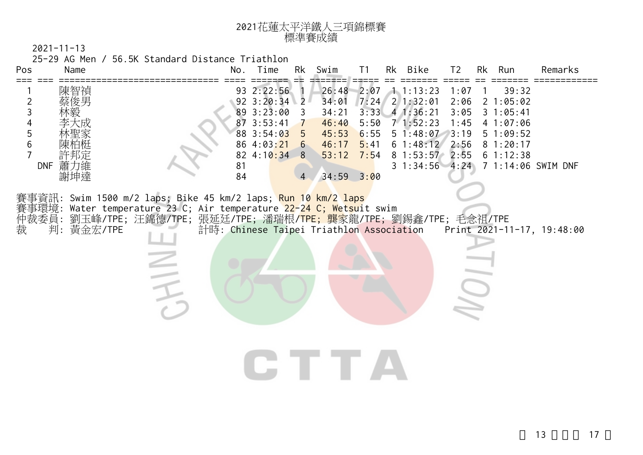| 2021花蓮太平洋鐵人三項錦標賽<br>標準賽成績 |                                                                                                                                                                |  |  |  |  |          |                      |  |    |                |      |                                                         |      |               |                    |
|---------------------------|----------------------------------------------------------------------------------------------------------------------------------------------------------------|--|--|--|--|----------|----------------------|--|----|----------------|------|---------------------------------------------------------|------|---------------|--------------------|
|                           | $2021 - 11 - 13$                                                                                                                                               |  |  |  |  |          |                      |  |    |                |      |                                                         |      |               |                    |
|                           | 25-29 AG Men / 56.5K Standard Distance Triathlon                                                                                                               |  |  |  |  |          |                      |  |    |                |      |                                                         |      |               |                    |
| Pos                       | Name                                                                                                                                                           |  |  |  |  |          | No. Time             |  | Rk | Swim           | T1   | Rk Bike                                                 | T2   | Rk Run        | Remarks            |
|                           | 陳智禎                                                                                                                                                            |  |  |  |  |          | 93 2:22:56           |  |    | 26:48          |      | $2:07 \quad 1 \quad 1:13:23$                            | 1:07 | 39:32         |                    |
| $\overline{2}$            | 蔡俊男                                                                                                                                                            |  |  |  |  |          | $92 \cdot 3:20:34$ 2 |  |    | 34:01          |      | $7:24$ 2 1:32:01                                        | 2:06 | 21:05:02      |                    |
| 3                         |                                                                                                                                                                |  |  |  |  |          | 89 3:23:00 3         |  |    | 34:21          |      | $3:33$ 4 1:36:21                                        | 3:05 | $3 \t1:05:41$ |                    |
| 4                         |                                                                                                                                                                |  |  |  |  |          | 87 3:53:41 7         |  |    | 46:40          |      | $5:50$ 7 1:52:23                                        | 1:45 | 41:07:06      |                    |
| 5                         |                                                                                                                                                                |  |  |  |  |          | 88 3:54:03 5         |  |    | 45:53          | 6:55 | 51:48:07                                                | 3:19 | 51:09:52      |                    |
| $6\,$                     |                                                                                                                                                                |  |  |  |  |          | 86 4:03:21 6         |  |    | 46:17          | 5:41 | 61:48:12                                                | 2:56 | 81:20:17      |                    |
|                           |                                                                                                                                                                |  |  |  |  |          | 82 4:10:34 8         |  |    | 53:12          | 7:54 | 8 1:53:57 2:55                                          |      | 61:12:38      |                    |
| <b>DNF</b>                | 蕭力維<br>謝坤達                                                                                                                                                     |  |  |  |  | 81<br>84 |                      |  |    | $34:59$ $3:00$ |      | $3\;1:34:56\;4:24$                                      |      |               | 7 1:14:06 SWIM DNF |
| 仲裁委員:                     | 事資訊: Swim 1500 m/2 laps; Bike 45 km/2 laps; <mark>Run 10 km/2 laps</mark><br>賽事環境: Water temperature 23 C; Air temperature <mark>22-24 C; Wetsu</mark> it swim |  |  |  |  |          |                      |  |    |                |      | 劉玉峰/TPE;汪錦德/TPE;張延廷/TPE;潘瑞根/TPE;龔家龍/TPE;劉錫鑫/TPE;毛念祖/TPE |      |               |                    |
| 裁                         | 判: 黃金宏/TPE                                                                                                                                                     |  |  |  |  |          |                      |  |    |                |      |                                                         |      |               |                    |
|                           |                                                                                                                                                                |  |  |  |  |          |                      |  |    |                |      |                                                         |      |               |                    |
|                           |                                                                                                                                                                |  |  |  |  |          |                      |  |    |                |      |                                                         |      |               |                    |
|                           |                                                                                                                                                                |  |  |  |  |          |                      |  |    |                |      |                                                         |      |               |                    |
|                           |                                                                                                                                                                |  |  |  |  |          |                      |  |    |                |      |                                                         |      |               |                    |
|                           |                                                                                                                                                                |  |  |  |  |          |                      |  |    |                |      |                                                         |      |               |                    |
|                           |                                                                                                                                                                |  |  |  |  |          |                      |  |    |                |      |                                                         |      |               |                    |
|                           |                                                                                                                                                                |  |  |  |  |          |                      |  |    |                |      |                                                         |      |               |                    |
|                           |                                                                                                                                                                |  |  |  |  |          |                      |  |    |                |      |                                                         |      |               |                    |
|                           |                                                                                                                                                                |  |  |  |  |          |                      |  |    |                |      |                                                         |      |               |                    |
|                           |                                                                                                                                                                |  |  |  |  |          |                      |  |    |                |      |                                                         |      |               |                    |

CTTA

13 17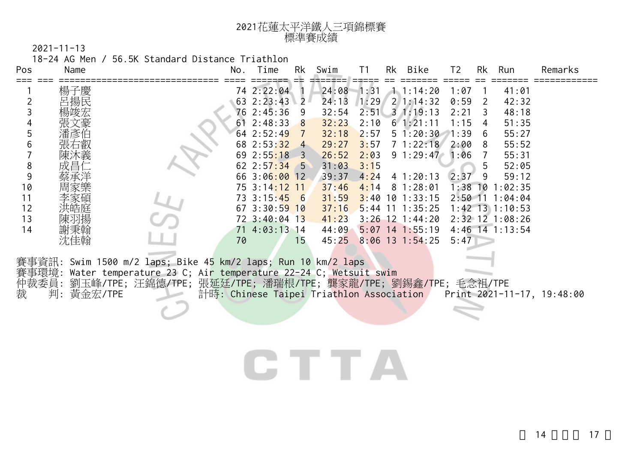| 2021花蓮太平洋鐵人三項錦標賽 |
|------------------|
| 標準賽成績            |

18-24 AG Men / 56.5K Standard Distance Triathlon

| Pos   | Name       |                                                                     | No. Time           | Rk                        | Swim  | T1   | Rk Bike            | T <sub>2</sub> | Rk | Run                 | Remarks                                                             |
|-------|------------|---------------------------------------------------------------------|--------------------|---------------------------|-------|------|--------------------|----------------|----|---------------------|---------------------------------------------------------------------|
|       | 楊子慶        |                                                                     | 74 2:22:04         |                           | 24:08 | 1:31 | 1.1:14:20          | 1:07           |    | 41:01               |                                                                     |
|       |            |                                                                     | 63 2:23:43         | $2^{\perp}$               | 24:13 | 1:29 | $2 \mid 1:14:32$   | 0:59           | 2  | 42:32               |                                                                     |
|       |            |                                                                     | 76 2:45:36 9       |                           | 32:54 |      | $2:51$ 3 1:19:13   | 2:21           | 3  | 48:18               |                                                                     |
|       |            |                                                                     | $61$ 2:48:33       | 8                         | 32:23 | 2:10 | $6 \t1:21:11$      | 1:15           | 4  | 51:35               |                                                                     |
| 5     |            |                                                                     | 64 2:52:49         |                           | 32:18 | 2:57 | $5\;1:20:30\;1:39$ |                | 6  | 55:27               |                                                                     |
| 6     |            |                                                                     | 68 2:53:32         | $\overline{4}$            | 29:27 | 3:57 | 71:22:18           | 2:00           | -8 | 55:52               |                                                                     |
|       |            |                                                                     | 692:55:18          | $\overline{\phantom{0}3}$ | 26:52 | 2:03 | $9 \; 1:29:47$     | 1:06           | 7  | 55:31               |                                                                     |
| 8     |            |                                                                     | $62 \t2:57:34 \t5$ |                           | 31:03 | 3:15 |                    |                | 5  | 52:05               |                                                                     |
| 9     |            |                                                                     | 66 3:06:00 12      |                           | 39:37 |      | $4:24$ 4 1:20:13   | 2:37           | 9  | 59:12               |                                                                     |
| 10    |            |                                                                     | 75 3:14:12 11      |                           | 37:46 |      | $4:14$ 8 1:28:01   |                |    | $1:38$ 10 $1:02:35$ |                                                                     |
| 11    |            |                                                                     | 73 3:15:45 6       |                           | 31:59 |      | $3:40$ 10 1:33:15  |                |    | $2:50$ 11 1:04:04   |                                                                     |
| 12    |            |                                                                     | $67$ 3:30:59 10    |                           | 37:16 |      | $5:44$ 11 1:35:25  |                |    | $1:42$ 13 1:10:53   |                                                                     |
| 13    |            |                                                                     | 72 3:40:04 13      |                           | 41:23 |      | $3:26$ 12 1:44:20  |                |    | 2:32 12 1:08:26     |                                                                     |
| 14    | 謝秉翰        |                                                                     | 71 4:03:13 14      |                           | 44:09 |      | $5:07$ 14 1:55:19  |                |    | $4:46$ 14 1:13:54   |                                                                     |
|       | 沈佳翰        | 70                                                                  |                    | 15                        | 45:25 |      | $8:06$ 13 1:54:25  | 5:47           |    |                     |                                                                     |
|       |            |                                                                     |                    |                           |       |      |                    |                |    |                     |                                                                     |
|       |            | 賽事資訊: Swim 1500 m/2 laps; Bike 45 km/2 laps; Run 10 km/2 laps       |                    |                           |       |      |                    |                |    |                     |                                                                     |
|       |            | 賽事環境: Water temperature 23 C; Air temperature 22-24 C; Wetsuit swim |                    |                           |       |      |                    |                |    |                     |                                                                     |
| 仲裁委員: |            | 劉玉峰/TPE; 汪錦德/TPE; 張延廷/TPE; 潘瑞根/TPE; 龔家龍/TPE; 劉錫鑫/TPE; 毛念祖/TPE       |                    |                           |       |      |                    |                |    |                     |                                                                     |
| 裁     | 判: 黃金宏/TPE |                                                                     |                    |                           |       |      |                    |                |    |                     | 計時: Chinese Taipei Triathlon Association Print 2021-11-17, 19:48:00 |
|       |            |                                                                     |                    |                           |       |      |                    |                |    |                     |                                                                     |
|       |            |                                                                     |                    |                           |       |      |                    |                |    |                     |                                                                     |
|       |            |                                                                     |                    |                           |       |      |                    |                |    |                     |                                                                     |
|       |            |                                                                     |                    |                           |       |      |                    |                |    |                     |                                                                     |

## CTTA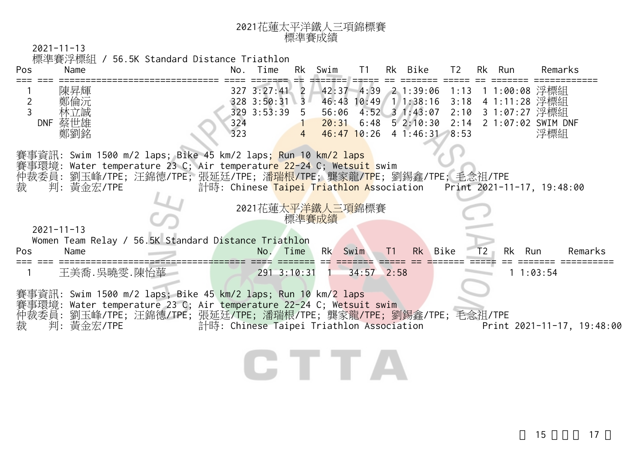| 2021花蓮太平洋鐵人三項錦標賽 |
|------------------|
| 標準賽成績            |

| Pos            | Name             | / 56.5K Standard Distance Triathlon                                                                                                                                                                                                                            |     | No. Time                       | Rk        | Swim  | T1           |    | Rk Bike                                   | T2           |    | Rk Run | Remarks                                                             |
|----------------|------------------|----------------------------------------------------------------------------------------------------------------------------------------------------------------------------------------------------------------------------------------------------------------|-----|--------------------------------|-----------|-------|--------------|----|-------------------------------------------|--------------|----|--------|---------------------------------------------------------------------|
|                | 陳昇輝              |                                                                                                                                                                                                                                                                |     | $327$ $3:27:41$ 2              |           |       |              |    | 42:37 4:39 2 1:39:06                      | 1:13         |    |        | 11:00:08 浮標組                                                        |
| $\overline{2}$ |                  |                                                                                                                                                                                                                                                                |     | 328 3:50:31 3<br>329 3:53:39 5 |           | 56:06 |              |    | 46:43 10:49 1 1:38:16<br>$4:52$ 3 1:43:07 | 3:18<br>2:10 |    |        | 41:11:28 浮標組<br>3 1:07:27 浮標組                                       |
|                | 林立誠<br>DNF 蔡世雄   |                                                                                                                                                                                                                                                                | 324 |                                |           |       |              |    | $20:31$ 6:48 5 2:10:30                    | 2:14         |    |        | 2 1:07:02 SWIM DNF                                                  |
|                | 鄭劉銘              |                                                                                                                                                                                                                                                                | 323 |                                | $4 \quad$ |       |              |    | $46:47$ 10:26 4 1:46:31 8:53              |              |    |        | 浮標組                                                                 |
| 裁              | 判: 黃金宏/TPE       | 賽事資訊: Swim 1500 m/2 laps; Bike 45 km/2 laps; Run 10 km <mark>/2 laps</mark><br>賽事環境: Water temperature 23 C; Air temperatu <mark>re 22-24 C; Wetsuit</mark> swim<br>仲裁委員:劉玉峰/TPE;汪錦德/TPE;張延廷/TPE;潘 <mark>瑞根/TP</mark> E;龔家龍/ <mark>TP</mark> E;劉錫鑫/TPE;毛念祖/TPE |     | 2021花蓮太平洋鐵人三項錦標賽               |           | 標準賽成績 |              |    |                                           |              |    |        | 計時: Chinese Taipei Triathlon Association Print 2021-11-17, 19:48:00 |
|                | $2021 - 11 - 13$ |                                                                                                                                                                                                                                                                |     |                                |           |       |              |    |                                           |              |    |        |                                                                     |
| Pos            | Name             | Women Team Relay / 56.5K Standard Distance Triathlon                                                                                                                                                                                                           |     | No.                            | Time      | Rk    | Swim         | T1 | Rk<br>Bike                                |              | Т2 | Rk     | Run<br>Remarks                                                      |
|                |                  | 王美喬.吳曉雯.陳怡華 一                                                                                                                                                                                                                                                  |     | $291 \t3:10:31$                |           |       | $34:57$ 2:58 |    |                                           |              |    |        | 11:03:54                                                            |
| 裁              | 判: 黃金宏/TPE       | 賽事資訊: Swim 1500 m/2 laps; Bike 45 km/2 laps; Run 10 km/2 laps<br>賽事環境: Water temperature 23 C; Air temperature 22-24 C; Wetsuit swim<br>仲裁委員: 劉玉峰/TPE; 汪錦德/TPE; 張延廷/TPE; 潘瑞根/TPE; 龔家龍/TPE; 劉錫鑫/TPE; 毛念祖/TPE                                                    |     |                                |           |       |              |    | 計時: Chinese Taipei Triathlon Association  |              |    |        | Print 2021-11-17, 19:48:00                                          |
|                |                  |                                                                                                                                                                                                                                                                |     |                                |           |       |              |    |                                           |              |    |        |                                                                     |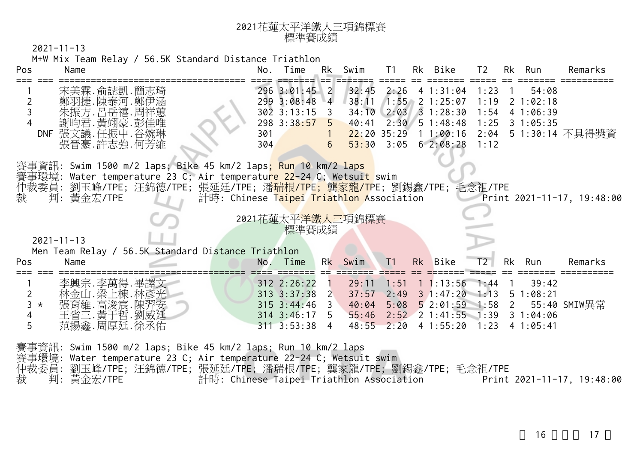## <sup>2021</sup>花蓮太平洋鐵人三項錦標賽 標準賽成績

2021-11-13

M+W Mix Team Relay / 56.5K Standard Distance Triathlon

| Pos                               | Name                                                                                                                                                                                                                                                                                                                             | No.        | Time                                                                                                  | Rk                         | Swim                    | T1   | Rk Bike                                                                                                          | T <sub>2</sub> | Rk             | Run                                  | Remarks                                  |
|-----------------------------------|----------------------------------------------------------------------------------------------------------------------------------------------------------------------------------------------------------------------------------------------------------------------------------------------------------------------------------|------------|-------------------------------------------------------------------------------------------------------|----------------------------|-------------------------|------|------------------------------------------------------------------------------------------------------------------|----------------|----------------|--------------------------------------|------------------------------------------|
| 2                                 | 宋美霖.俞誌凱.簡志琦<br>鄭羽捷.陳泰河.鄭伊涵<br>朱振方.呂岳禧.周祥蕙                                                                                                                                                                                                                                                                                        |            | 296 3:01:45 2<br>299 3:08:48 4 38:11<br>$302$ 3:13:15 3                                               |                            |                         |      | $32:45$ $2:26$ 4 1:31:04 1:23<br>$1:55$ 2 1:25:07<br>34:10 2:03 3 1:28:30                                        | 1:19<br>1:54   | $\overline{1}$ | 54:08<br>$2 \; 1:02:18$<br>4 1:06:39 |                                          |
|                                   | 謝昀君.黃翊豪.彭佳唯<br>DNF 張文議.任振中.谷婉琳<br>張晉豪.許志強.何芳維                                                                                                                                                                                                                                                                                    | 301<br>304 | 298 3:38:57 5                                                                                         | $\sim$ 1<br>6 <sup>1</sup> |                         |      | $40:41$ $2:30$ 5 1:48:48<br>$22:20$ 35:29 1 1:00:16<br>$53:30$ $3:05$ 6 2:08:28                                  | 1:25<br>1:12   |                | $3 \t1:05:35$                        | 2:04 5 1:30:14 不具得獎資                     |
| 裁                                 | 賽事資訊: Swim 1500 m/2 laps; Bike 45 km/2 laps <mark>; Run 10 km/2 laps</mark><br>賽事環境: Water temperature 23 C; Air temperatu <mark>re 22-24 C; Wetsuit s</mark> wim<br>仲裁委員: 劉玉峰/TPE; 汪錦德/TPE; 張延廷/TPE; 潘 <mark>瑞根/TPE; 龔家龍/TP</mark> E; 劉錫鑫/TPE; 毛念祖/TPE<br>判: 黃金宏/TPE<br>計時: Chinese T <mark>aipei Triathlon A</mark> ssociation |            |                                                                                                       |                            |                         |      |                                                                                                                  |                |                |                                      | <b>Print 2021-11-17, 19:48:00</b>        |
|                                   | $2021 - 11 - 13$<br>Men Team Relay / 56.5K Standard Distance Triathlon                                                                                                                                                                                                                                                           |            | 2021花蓮太平洋鐵人三項錦標賽<br>標準賽成績                                                                             |                            |                         |      |                                                                                                                  |                |                |                                      |                                          |
| Pos                               | Name                                                                                                                                                                                                                                                                                                                             |            | No. Time                                                                                              |                            | Rk Swim                 | T1   | Rk Bike                                                                                                          | T2             |                | Rk Run                               | Remarks                                  |
| $\overline{2}$<br>$3 *$<br>4<br>5 | 李興宗.李萬得.畢譯文<br>林金山.梁上棟.林彥光 <br>張育維.高浚宸.陳羿安<br>王省三. 黃于哲. 劉威廷<br>范揚鑫.周厚廷.徐丞佑                                                                                                                                                                                                                                                       |            | $312$ $2:26:22$ 1<br>$313$ $3:37:38$ 2<br>$315$ $3:44:46$ 3<br>$314$ $3:46:17$ 5<br>$311$ $3:53:38$ 4 |                            | 29:11<br>37:57<br>55:46 | 2:49 | $1:51$ 1 1:13:56<br>31:47:201:1351:08:21<br>2:52 2 1:41:55 1:39 3 1:04:06<br>48:55 2:20 4 1:55:20 1:23 4 1:05:41 | 1:44           | $\sqrt{1}$     | 39:42                                | 40:04 5:08 5 2:01:59 1:58 2 55:40 SMIW異常 |
|                                   | 賽事資訊: Swim 1500 m/2 laps; Bike 45 km/2 laps; Run 10 km/2 laps<br>賽事環境: Water temperature 23 C; Air temperature 22-24 C; Wetsuit swim                                                                                                                                                                                             |            |                                                                                                       |                            |                         |      |                                                                                                                  |                |                |                                      |                                          |

仲裁委員: 劉玉峰/TPE; 汪錦德/TPE; 張延廷/TPE; 潘瑞根/TPE; 龔家龍/TPE; 劉錫鑫/TPE; 毛念祖/TPE 裁 判: 黃金宏/TPE 計時: Chinese Taipei Triathlon Association Print 2021-11-17, 19:48:00